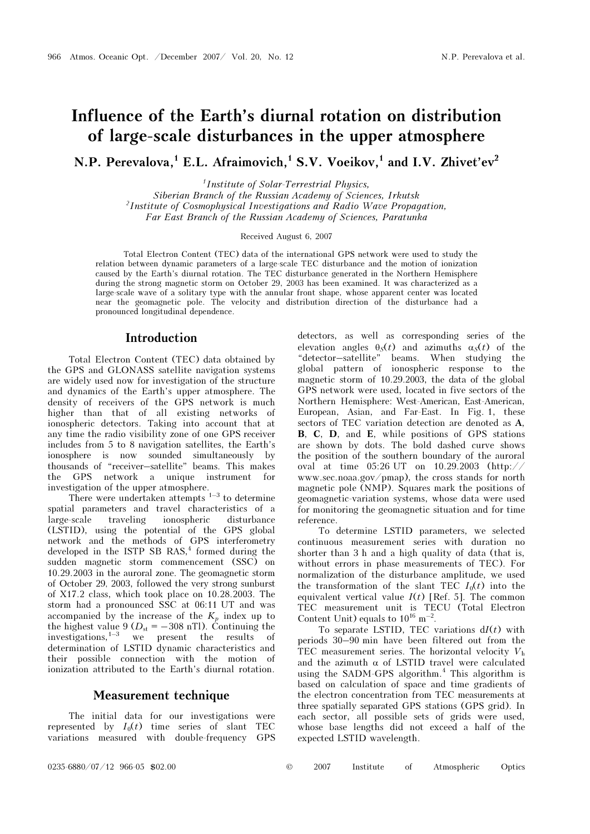# Influence of the Earth's diurnal rotation on distribution of large-scale disturbances in the upper atmosphere

N.P. Perevalova.<sup>1</sup> E.L. Afraimovich.<sup>1</sup> S.V. Voeikov.<sup>1</sup> and I.V. Zhivet'ev<sup>2</sup>

<sup>1</sup>Institute of Solar-Terrestrial Physics,

Siberian Branch of the Russian Academy of Sciences, Irkutsk <sup>2</sup>Institute of Cosmophysical Investigations and Radio Wave Propagation, Far East Branch of the Russian Academy of Sciences, Paratunka

Received August 6, 2007

Total Electron Content (TEC) data of the international GPS network were used to study the relation between dynamic parameters of a large-scale TEC disturbance and the motion of ionization caused by the Earth's diurnal rotation. The TEC disturbance generated in the Northern Hemisphere during the strong magnetic storm on October 29, 2003 has been examined. It was characterized as a large-scale wave of a solitary type with the annular front shape, whose apparent center was located near the geomagnetic pole. The velocity and distribution direction of the disturbance had a pronounced longitudinal dependence.

#### Introduction

Total Electron Content (TEC) data obtained by the GPS and GLONASS satellite navigation systems are widely used now for investigation of the structure and dynamics of the Earth's upper atmosphere. The density of receivers of the GPS network is much higher than that of all existing networks of ionospheric detectors. Taking into account that at any time the radio visibility zone of one GPS receiver includes from 5 to 8 navigation satellites, the Earth's ionosphere is now sounded simultaneously by thousands of "receiver–satellite" beams. This makes the GPS network a unique instrument for investigation of the upper atmosphere.

There were undertaken attempts  $1-3$  to determine spatial parameters and travel characteristics of a large-scale traveling ionospheric disturbance (LSTID), using the potential of the GPS global network and the methods of GPS interferometry developed in the ISTP SB RAS, $<sup>4</sup>$  formed during the</sup> sudden magnetic storm commencement (SSC) on 10.29.2003 in the auroral zone. The geomagnetic storm of October 29, 2003, followed the very strong sunburst of  $X17.2$  class, which took place on  $10.28.2003$ . The storm had a pronounced SSC at 06:11 UT and was accompanied by the increase of the  $K_p$  index up to the highest value  $9 (D_{st} = -308 \text{ nT})$ . Continuing the investigations,<sup>1-3</sup> we present the results of determination of LSTID dynamic characteristics and their possible connection with the motion of ionization attributed to the Earth's diurnal rotation.

# Measurement technique

The initial data for our investigations were represented by  $I_0(t)$  time series of slant TEC variations measured with double-frequency GPS detectors, as well as corresponding series of the elevation angles  $\theta_{\mathcal{S}}(t)$  and azimuths  $\alpha_{\mathcal{S}}(t)$  of the "detector–satellite" beams. When studying the global pattern of ionospheric response to the magnetic storm of 10.29.2003, the data of the global GPS network were used, located in five sectors of the Northern Hemisphere: West-American, East-American, European, Asian, and Far-East. In Fig. 1, these sectors of TEC variation detection are denoted as A, B, C, D, and E, while positions of GPS stations are shown by dots. The bold dashed curve shows the position of the southern boundary of the auroral oval at time 05:26 UT on 10.29.2003 (http:// www.sec.noaa.gov/pmap), the cross stands for north magnetic pole (NMP). Squares mark the positions of geomagnetic-variation systems, whose data were used for monitoring the geomagnetic situation and for time reference.

To determine LSTID parameters, we selected continuous measurement series with duration no shorter than 3 h and a high quality of data (that is, without errors in phase measurements of TEC). For normalization of the disturbance amplitude, we used the transformation of the slant TEC  $I_0(t)$  into the equivalent vertical value  $I(t)$  [Ref. 5]. The common TEC measurement unit is TECU (Total Electron Content Unit) equals to  $10^{16}$  m<sup>-2</sup>.

To separate LSTID, TEC variations  $dI(t)$  with periods 30–90 min have been filtered out from the TEC measurement series. The horizontal velocity  $V<sub>h</sub>$ and the azimuth  $\alpha$  of LSTID travel were calculated using the SADM-GPS algorithm.<sup>4</sup> This algorithm is based on calculation of space and time gradients of the electron concentration from TEC measurements at three spatially separated GPS stations (GPS grid). In each sector, all possible sets of grids were used, whose base lengths did not exceed a half of the expected LSTID wavelength.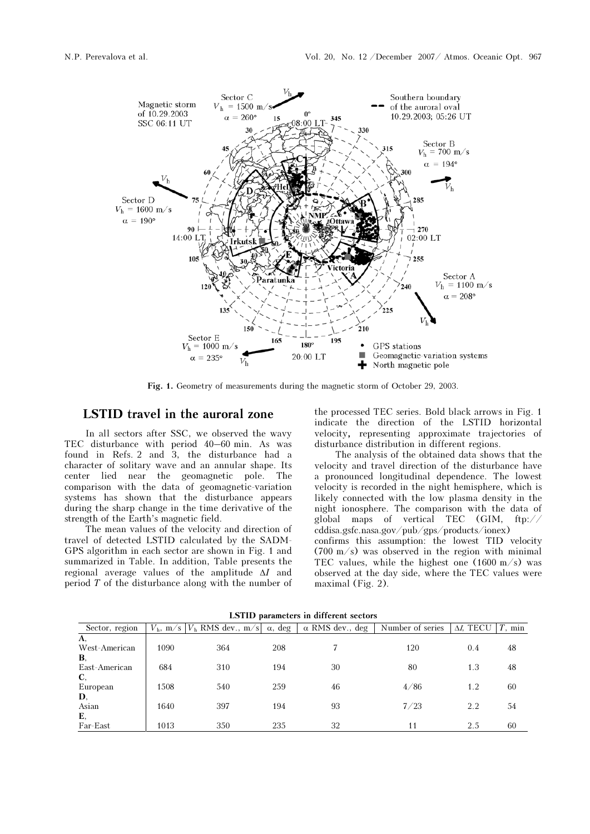

Fig. 1. Geometry of measurements during the magnetic storm of October 29, 2003.

# LSTID travel in the auroral zone

In all sectors after SSC, we observed the wavy TEC disturbance with period 40–60 min. As was found in Refs. 2 and 3, the disturbance had a character of solitary wave and an annular shape. Its center lied near the geomagnetic pole. The comparison with the data of geomagnetic-variation systems has shown that the disturbance appears during the sharp change in the time derivative of the strength of the Earth's magnetic field.

The mean values of the velocity and direction of travel of detected LSTID calculated by the SADM-GPS algorithm in each sector are shown in Fig. 1 and summarized in Table. In addition, Table presents the regional average values of the amplitude ΔI and period T of the disturbance along with the number of the processed TEC series. Bold black arrows in Fig. 1 indicate the direction of the LSTID horizontal velocity, representing approximate trajectories of disturbance distribution in different regions.

The analysis of the obtained data shows that the velocity and travel direction of the disturbance have a pronounced longitudinal dependence. The lowest velocity is recorded in the night hemisphere, which is likely connected with the low plasma density in the night ionosphere. The comparison with the data of global maps of vertical TEC (GIM, ftp:// cddisa.gsfc.nasa.gov/pub/gps/products/ionex)

confirms this assumption: the lowest TID velocity (700 m/s) was observed in the region with minimal TEC values, while the highest one  $(1600 \text{ m/s})$  was observed at the day side, where the TEC values were maximal (Fig. 2).

| ESTID parameters in unicitive sectors |     |        |                                |                  |                   |           |
|---------------------------------------|-----|--------|--------------------------------|------------------|-------------------|-----------|
|                                       |     | α, deg | $\alpha$ RMS dev., deg         | Number of series | $\Delta I$ , TECU | $T$ , min |
|                                       |     |        |                                |                  |                   |           |
| 1090                                  | 364 | 208    |                                | 120              | 0.4               | 48        |
|                                       |     |        |                                |                  |                   |           |
| 684                                   | 310 | 194    | 30                             | 80               | 1.3               | 48        |
|                                       |     |        |                                |                  |                   |           |
| 1508                                  | 540 | 259    | 46                             | 4/86             | 1.2               | 60        |
|                                       |     |        |                                |                  |                   |           |
| 1640                                  | 397 | 194    | 93                             | 7/23             | 2.2               | 54        |
|                                       |     |        |                                |                  |                   |           |
| 1013                                  | 350 | 235    | 32                             | 11               | 2.5               | 60        |
|                                       |     |        | $Vh$ , m/s $ Vh$ RMS dev., m/s |                  |                   |           |

LSTID parameters in different sectors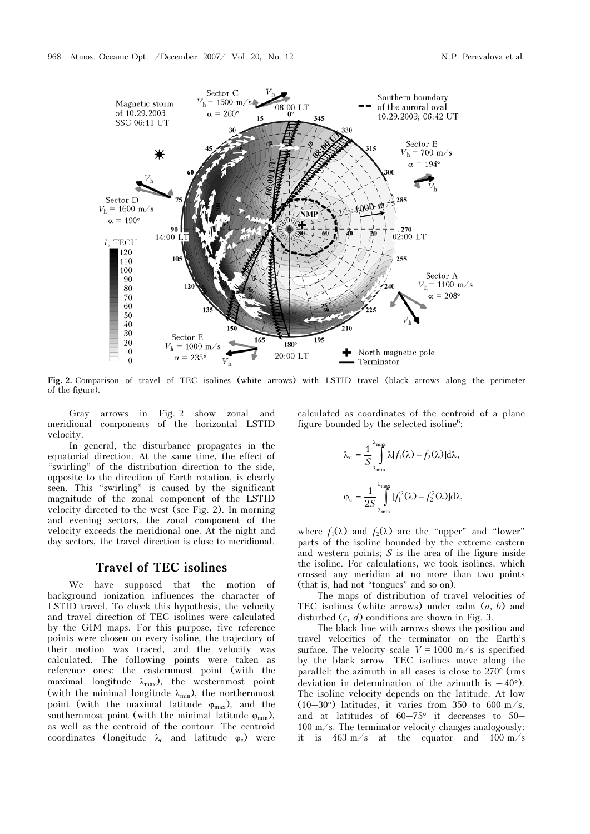

Fig. 2. Comparison of travel of TEC isolines (white arrows) with LSTID travel (black arrows along the perimeter of the figure).

Gray arrows in Fig. 2 show zonal and meridional components of the horizontal LSTID velocity.

In general, the disturbance propagates in the equatorial direction. At the same time, the effect of "swirling" of the distribution direction to the side, opposite to the direction of Earth rotation, is clearly seen. This "swirling" is caused by the significant magnitude of the zonal component of the LSTID velocity directed to the west (see Fig. 2). In morning and evening sectors, the zonal component of the velocity exceeds the meridional one. At the night and day sectors, the travel direction is close to meridional.

### Travel of TEC isolines

We have supposed that the motion of background ionization influences the character of LSTID travel. To check this hypothesis, the velocity and travel direction of TEC isolines were calculated by the GIM maps. For this purpose, five reference points were chosen on every isoline, the trajectory of their motion was traced, and the velocity was calculated. The following points were taken as reference ones: the easternmost point (with the maximal longitude  $\lambda_{\text{max}}$ ), the westernmost point (with the minimal longitude  $\lambda_{\min}$ ), the northernmost point (with the maximal latitude  $\varphi_{\text{max}}$ ), and the southernmost point (with the minimal latitude  $\varphi_{\min}$ ), as well as the centroid of the contour. The centroid coordinates (longitude  $\lambda_c$  and latitude  $\varphi_c$ ) were calculated as coordinates of the centroid of a plane figure bounded by the selected isoline<sup>6</sup>:

$$
\lambda_{\rm c} = \frac{1}{S} \int_{\lambda_{\rm min}}^{\lambda_{\rm max}} \lambda [f_1(\lambda) - f_2(\lambda)] d\lambda,
$$
  

$$
\varphi_{\rm c} = \frac{1}{2S} \int_{\lambda_{\rm min}}^{\lambda_{\rm max}} [f_1^2(\lambda) - f_2^2(\lambda)] d\lambda,
$$

where  $f_1(\lambda)$  and  $f_2(\lambda)$  are the "upper" and "lower" parts of the isoline bounded by the extreme eastern and western points; S is the area of the figure inside the isoline. For calculations, we took isolines, which crossed any meridian at no more than two points (that is, had not "tongues" and so on).

The maps of distribution of travel velocities of TEC isolines (white arrows) under calm  $(a, b)$  and disturbed  $(c, d)$  conditions are shown in Fig. 3.

The black line with arrows shows the position and travel velocities of the terminator on the Earth's surface. The velocity scale  $V = 1000$  m/s is specified by the black arrow. TEC isolines move along the parallel: the azimuth in all cases is close to 270° (rms deviation in determination of the azimuth is  $-40^{\circ}$ ). The isoline velocity depends on the latitude. At low (10–30 $\degree$ ) latitudes, it varies from 350 to 600 m/s, and at latitudes of 60–75° it decreases to 50– 100 m/s. The terminator velocity changes analogously: it is  $463 \text{ m/s}$  at the equator and  $100 \text{ m/s}$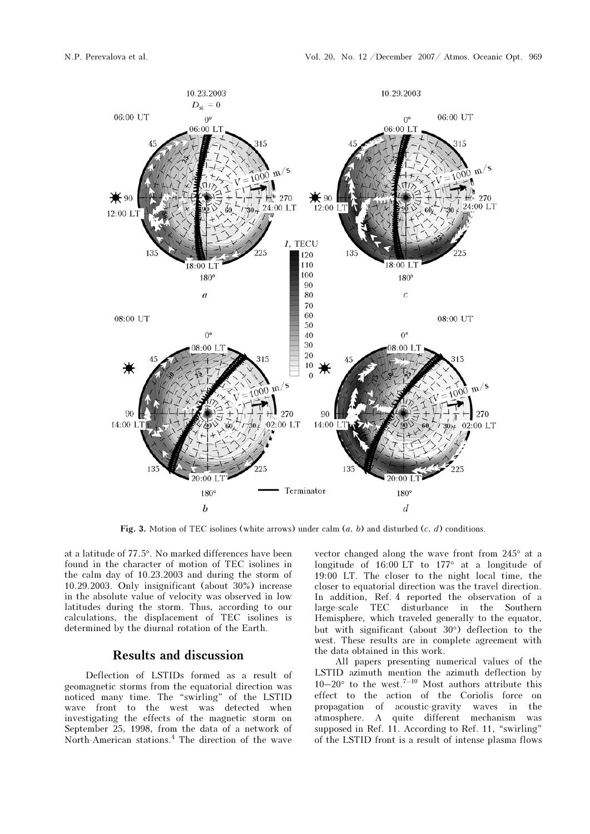

Fig. 3. Motion of TEC isolines (white arrows) under calm  $(a, b)$  and disturbed  $(c, d)$  conditions.

at a latitude of 77.5°. No marked differences have been found in the character of motion of TEC isolines in the calm day of 10.23.2003 and during the storm of 10.29.2003. Only insignificant (about 30%) increase in the absolute value of velocity was observed in low latitudes during the storm. Thus, according to our calculations, the displacement of TEC isolines is determined by the diurnal rotation of the Earth.

# Results and discussion

Deflection of LSTIDs formed as a result of geomagnetic storms from the equatorial direction was noticed many time. The "swirling" of the LSTID wave front to the west was detected when investigating the effects of the magnetic storm on September 25, 1998, from the data of a network of North-American stations.<sup>4</sup> The direction of the wave vector changed along the wave front from 245° at a longitude of 16:00 LT to 177° at a longitude of 19:00 LT. The closer to the night local time, the closer to equatorial direction was the travel direction. In addition, Ref. 4 reported the observation of a large-scale TEC disturbance in the Southern Hemisphere, which traveled generally to the equator, but with significant (about 30°) deflection to the west. These results are in complete agreement with the data obtained in this work.

All papers presenting numerical values of the LSTID azimuth mention the azimuth deflection by  $10-20^\circ$  to the west.<sup>7–10</sup> Most authors attribute this effect to the action of the Coriolis force on<br>propagation of acoustic-gravity waves in the propagation of acoustic-gravity waves in the atmosphere. A quite different mechanism was supposed in Ref. 11. According to Ref. 11, "swirling" of the LSTID front is a result of intense plasma flows